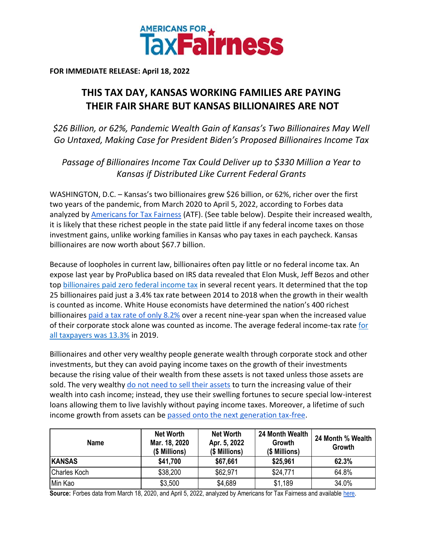

**FOR IMMEDIATE RELEASE: April 18, 2022**

## **THIS TAX DAY, KANSAS WORKING FAMILIES ARE PAYING THEIR FAIR SHARE BUT KANSAS BILLIONAIRES ARE NOT**

*\$26 Billion, or 62%, Pandemic Wealth Gain of Kansas's Two Billionaires May Well Go Untaxed, Making Case for President Biden's Proposed Billionaires Income Tax*

*Passage of Billionaires Income Tax Could Deliver up to \$330 Million a Year to Kansas if Distributed Like Current Federal Grants*

WASHINGTON, D.C. – Kansas's two billionaires grew \$26 billion, or 62%, richer over the first two years of the pandemic, from March 2020 to April 5, 2022, according to Forbes data analyzed by [Americans for Tax Fairness](https://americansfortaxfairness.org/) (ATF). (See table below). Despite their increased wealth, it is likely that these richest people in the state paid little if any federal income taxes on those investment gains, unlike working families in Kansas who pay taxes in each paycheck. Kansas billionaires are now worth about \$67.7 billion.

Because of loopholes in current law, billionaires often pay little or no federal income tax. An expose last year by ProPublica based on IRS data revealed that Elon Musk, Jeff Bezos and other to[p](https://americansfortaxfairness.org/wp-content/uploads/ProPublica-Billionaires-Fact-Sheet-Updated.pdf) [billionaires paid zero federal income tax](https://americansfortaxfairness.org/wp-content/uploads/ProPublica-Billionaires-Fact-Sheet-Updated.pdf) in several recent years. It determined that the top 25 billionaires paid just a 3.4% tax rate between 2014 to 2018 when the growth in their wealth is counted as income. White House economists have determined the nation's 400 richest billionaire[s](https://www.whitehouse.gov/cea/written-materials/2021/09/23/what-is-the-average-federal-individual-income-tax-rate-on-the-wealthiest-americans/) [paid a tax rate of only 8.2%](https://www.whitehouse.gov/cea/written-materials/2021/09/23/what-is-the-average-federal-individual-income-tax-rate-on-the-wealthiest-americans/) over a recent nine-year span when the increased value of th[e](https://taxfoundation.org/summary-latest-federal-income-tax-data-2022-update/)ir corporate stock alone was counted as income. The average federal income-tax rate for [all taxpayers was 13.3%](https://taxfoundation.org/summary-latest-federal-income-tax-data-2022-update/) in 2019.

Billionaires and other very wealthy people generate wealth through corporate stock and other investments, but they can avoid paying income taxes on the growth of their investments because the rising value of their wealth from these assets is not taxed unless those assets are sold. The ver[y](https://www.wsj.com/articles/buy-borrow-die-how-rich-americans-live-off-their-paper-wealth-11625909583) wealthy do not need to [sell their assets](https://www.wsj.com/articles/buy-borrow-die-how-rich-americans-live-off-their-paper-wealth-11625909583) to turn the increasing value of their wealth into cash income; instead, they use their swelling fortunes to secure special low-interest loans allowing them to live lavishly without paying income taxes. Moreover, a lifetime of such income growth from assets can b[e](https://americansfortaxfairness.org/issue/stop-protecting-billionaires-close-stepped-basis-loophole/) [passed onto the next generation tax-free.](https://americansfortaxfairness.org/issue/stop-protecting-billionaires-close-stepped-basis-loophole/)

| <b>Name</b>         | <b>Net Worth</b><br>Mar. 18, 2020<br>(\$ Millions) | <b>Net Worth</b><br>Apr. 5, 2022<br>(\$ Millions) | 24 Month Wealth<br>Growth<br>(\$ Millions) | 24 Month % Wealth<br>Growth |
|---------------------|----------------------------------------------------|---------------------------------------------------|--------------------------------------------|-----------------------------|
| <b>KANSAS</b>       | \$41,700                                           | \$67,661                                          | \$25,961                                   | 62.3%                       |
| <b>Charles Koch</b> | \$38,200                                           | \$62,971                                          | \$24,771                                   | 64.8%                       |
| Min Kao             | \$3,500                                            | \$4,689                                           | \$1,189                                    | 34.0%                       |

Source: Forbes data from March 18, 2020, and April 5, 2022, analyzed by Americans for Tax Fairness and available [here.](https://docs.google.com/spreadsheets/d/1MksOhwmIojtZihAmPcfcYeaGoG3FOFZmiKUza1dIRD4/edit?usp=sharing)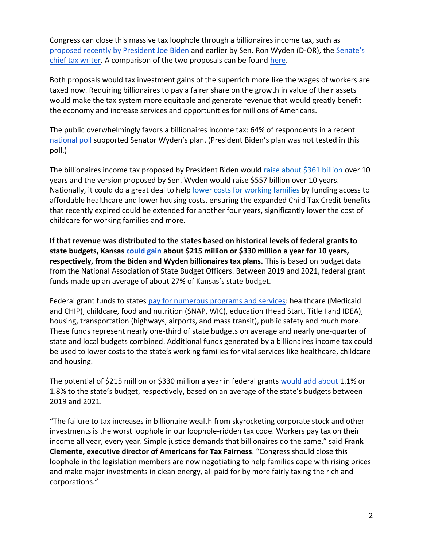Congress can close this massive tax loophole through a billionaires income tax, such as [proposed recently by President Joe Biden](https://www.whitehouse.gov/omb/briefing-room/2022/03/28/presidents-budget-rewards-work-not-wealth-with-new-billionaire-minimum-income-tax/) and [e](https://www.finance.senate.gov/chairmans-news/wyden-unveils-billionaires-income-tax)arlier by Sen. Ron Wyden (D-OR), the Senate's [chief tax writer.](https://www.finance.senate.gov/chairmans-news/wyden-unveils-billionaires-income-tax) A comparison of the two proposals can be foun[d](https://docs.google.com/document/d/1VdQTBEMGB2dHRGIt823stOBmIdul86-N7fYAQWxp-wU/edit?usp=sharing) [here.](https://americansfortaxfairness.org/issue/comparison-biden-wyden-billionaires-income-tax-proposals-short/)

Both proposals would tax investment gains of the superrich more like the wages of workers are taxed now. Requiring billionaires to pay a fairer share on the growth in value of their assets would make the tax system more equitable and generate revenue that would greatly benefit the economy and increase services and opportunities for millions of Americans.

The public overwhelmingly favors a billionaires income tax: 64% of respondents in a recen[t](https://docs.google.com/document/d/1AhWvucOLV2qY6izLkZvHpPig6DDmdFaCbmeM-5E65Xw/edit) [national poll](https://docs.google.com/document/d/1AhWvucOLV2qY6izLkZvHpPig6DDmdFaCbmeM-5E65Xw/edit) supported Senator Wyden's plan. (President Biden's plan was not tested in this poll.)

The billionaires income tax proposed by President Biden would [raise about \\$361 billion](https://americansfortaxfairness.org/issue/comparison-biden-wyden-billionaires-income-tax-proposals-short/) over 10 years and the version proposed by Sen. Wyden would raise \$557 billion over 10 years. Nationally, it could do a great deal to hel[p](https://americansfortaxfairness.org/issue/6-ways-spend-revenue-billionaires-income-tax/) [lower costs for working families](https://americansfortaxfairness.org/issue/6-ways-spend-revenue-billionaires-income-tax/) by funding access to affordable healthcare and lower housing costs, ensuring the expanded Child Tax Credit benefits that recently expired could be extended for another four years, significantly lower the cost of childcare for working families and more.

**If that revenue was distributed to the states based on historical levels of federal grants to state budgets, Kansas [could gain](https://docs.google.com/spreadsheets/d/1uMGQ0_Ow8ssIrktfYIvIQZwB44zOHf82ILpvh5kzWUI/edit?usp=sharing) about \$215 million or \$330 million a year for 10 years, respectively, from the Biden and Wyden billionaires tax plans.** This is based on budget data from the National Association of State Budget Officers. Between 2019 and 2021, federal grant funds made up an average of about 27% of Kansas's state budget.

Federal grant funds to states [pay for numerous programs and services:](https://www.cbpp.org/research/state-budget-and-tax/federal-aid-to-state-and-local-governments) healthcare (Medicaid and CHIP), childcare, food and nutrition (SNAP, WIC), education (Head Start, Title I and IDEA), housing, transportation (highways, airports, and mass transit), public safety and much more. These funds represent nearly one-third of state budgets on average and nearly one-quarter of state and local budgets combined. Additional funds generated by a billionaires income tax could be used to lower costs to the state's working families for vital services like healthcare, childcare and housing.

The potential of \$215 million or \$330 million a year in federal grants [would add about](https://docs.google.com/spreadsheets/d/1uMGQ0_Ow8ssIrktfYIvIQZwB44zOHf82ILpvh5kzWUI/edit?usp=sharing) 1.1% or 1.8% to the state's budget, respectively, based on an average of the state's budgets between 2019 and 2021.

"The failure to tax increases in billionaire wealth from skyrocketing corporate stock and other investments is the worst loophole in our loophole-ridden tax code. Workers pay tax on their income all year, every year. Simple justice demands that billionaires do the same," said **Frank Clemente, executive director of Americans for Tax Fairness**. "Congress should close this loophole in the legislation members are now negotiating to help families cope with rising prices and make major investments in clean energy, all paid for by more fairly taxing the rich and corporations."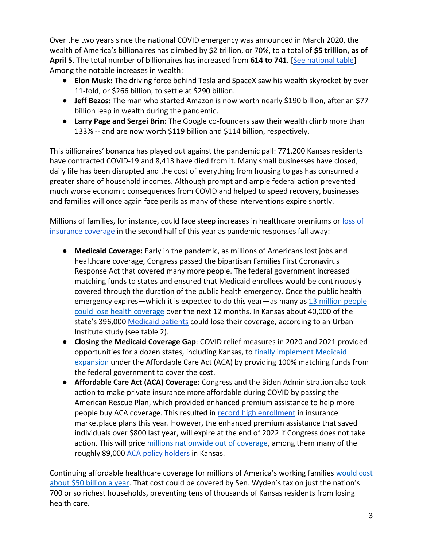Over the two years since the national COVID emergency was announced in March 2020, the wealth of America's billionaires has climbed by \$2 trillion, or 70%, to a total of **\$5 trillion, as of April 5**. The total number of billionaires has increased from **614 to 741**. [\[See national table\]](https://docs.google.com/spreadsheets/d/1MksOhwmIojtZihAmPcfcYeaGoG3FOFZmiKUza1dIRD4/edit?usp=sharing) Among the notable increases in wealth:

- **Elon Musk:** The driving force behind Tesla and SpaceX saw his wealth skyrocket by over 11-fold, or \$266 billion, to settle at \$290 billion.
- **Jeff Bezos:** The man who started Amazon is now worth nearly \$190 billion, after an \$77 billion leap in wealth during the pandemic.
- **Larry Page and Sergei Brin:** The Google co-founders saw their wealth climb more than 133% -- and are now worth \$119 billion and \$114 billion, respectively.

This billionaires' bonanza has played out against the pandemic pall: 771,200 Kansas residents have contracted COVID-19 and 8,413 have died from it. Many small businesses have closed, daily life has been disrupted and the cost of everything from housing to gas has consumed a greater share of household incomes. Although prompt and ample federal action prevented much worse economic consequences from COVID and helped to speed recovery, businesses and families will once again face perils as many of these interventions expire shortly.

Millions of families, for instance, could face steep increases in healthcare premiums or [loss of](https://www.nytimes.com/2022/04/04/opinion/covid-medicaid-loss.html)  [insurance coverage](https://www.nytimes.com/2022/04/04/opinion/covid-medicaid-loss.html) in the second half of this year as pandemic responses fall away:

- **Medicaid Coverage:** Early in the pandemic, as millions of Americans lost jobs and healthcare coverage, Congress passed the bipartisan Families First Coronavirus Response Act that covered many more people. The federal government increased matching funds to states and ensured that Medicaid enrollees would be continuously covered through the duration of the public health emergency. Once the public health emergency expire[s](https://www.urban.org/sites/default/files/2022-03/what-will-happen-to-medicaid-enrollees-health-coverage-after-the-public-health-emergency_1_1.pdf)—which it is expected to do this year—as many as 13 million people [could lose health coverage](https://www.urban.org/sites/default/files/2022-03/what-will-happen-to-medicaid-enrollees-health-coverage-after-the-public-health-emergency_1_1.pdf) over the next 12 months. In Kansas about 40,000 of the state's 396,[0](https://www.medicaid.gov/medicaid/program-information/medicaid-and-chip-enrollment-data/report-highlights/index.html)00 [Medicaid patients](https://www.medicaid.gov/medicaid/program-information/medicaid-and-chip-enrollment-data/report-highlights/index.html) could lose their coverage, according to an Urban Institute study (see table 2).
- **Closing the Medicaid Coverage Gap**: COVID relief measures in 2020 and 2021 provided opportunities for a dozen states, including Kansas, to [finally implement Medicaid](https://www.cbpp.org/research/health/house-bill-gives-states-incentive-to-quickly-expand-medicaid-cover-millions-of)  [expansion](https://www.cbpp.org/research/health/house-bill-gives-states-incentive-to-quickly-expand-medicaid-cover-millions-of) under the Affordable Care Act (ACA) by providing 100% matching funds from the federal government to cover the cost.
- **Affordable Care Act (ACA) Coverage:** Congress and the Biden Administration also took action to make private insurance more affordable during COVID by passing the American Rescue Plan, which provided enhanced premium assistance to help more people buy ACA coverage. This resulted i[n](https://www.whitehouse.gov/briefing-room/statements-releases/2022/03/10/during-week-of-anniversary-of-american-rescue-plan-biden-harris-administration-highlights-health-insurance-subsidies-that-promoted-critical-increases-in-enrollment-and-cost-savings/) [record high enrollment](https://www.whitehouse.gov/briefing-room/statements-releases/2022/03/10/during-week-of-anniversary-of-american-rescue-plan-biden-harris-administration-highlights-health-insurance-subsidies-that-promoted-critical-increases-in-enrollment-and-cost-savings/) in insurance marketplace plans this year. However, the enhanced premium assistance that saved individuals over \$800 last year, will expire at the end of 2022 if Congress does not take action. This will pric[e](https://tcf.org/content/commentary/american-rescue-plans-premium-assistance-must-made-permanent/?agreed=1) [millions nationwide out of coverage,](https://tcf.org/content/commentary/american-rescue-plans-premium-assistance-must-made-permanent/?agreed=1) among them many of the roughly 89,000 [ACA policy holders](https://www.kff.org/health-reform/state-indicator/marketplace-enrollment/?currentTimeframe=0&sortModel=%7B%22colId%22:%22Location%22,%22sort%22:%22asc%22%7D) in Kansas.

Continuing affordable healthcare coverage for millions of America's working families [would cost](https://www.cbo.gov/system/files/2021-12/57673-BBBA-GrahamSmith-Letter.pdf)  [about \\$50 billion a year](https://www.cbo.gov/system/files/2021-12/57673-BBBA-GrahamSmith-Letter.pdf). That cost could be covered by Sen. Wyden's tax on just the nation's 700 or so richest households, preventing tens of thousands of Kansas residents from losing health care.